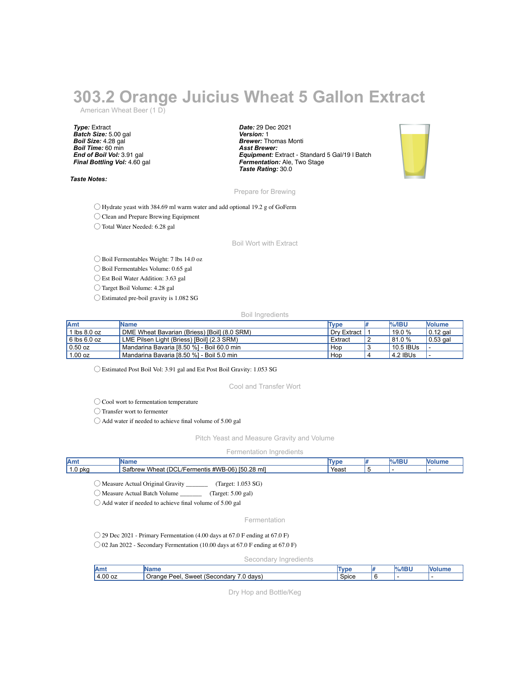## **303.2 Orange Juicius Wheat 5 Gallon Extract**

American Wheat Beer (1 D)

*Type:* Extract *Batch Size:* 5.00 gal *Boil Size:* 4.28 gal *Boil Time:* 60 min *End of Boil Vol:* 3.91 gal *Final Bottling Vol:* 4.60 gal

*Taste Notes:*

*Date:* 29 Dec 2021 *Version:* 1 *Brewer:* Thomas Monti *Asst Brewer: Equipment:* Extract - Standard 5 Gal/19 l Batch *Fermentation:* Ale, Two Stage *Taste Rating:* 30.0



Prepare for Brewing

◯ Hydrate yeast with 384.69 ml warm water and add optional 19.2 g of GoFerm

◯ Clean and Prepare Brewing Equipment

◯ Total Water Needed: 6.28 gal

Boil Wort with Extract

◯ Boil Fermentables Weight: 7 lbs 14.0 oz

◯ Boil Fermentables Volume: 0.65 gal

◯ Est Boil Water Addition: 3.63 gal

◯ Target Boil Volume: 4.28 gal

◯ Estimated pre-boil gravity is 1.082 SG

Boil Ingredients

| <b>Amt</b>       | <b>IName</b>                                 | Type        | $\frac{9}{6}$ /IBU | <b>Nolume</b>    |
|------------------|----------------------------------------------|-------------|--------------------|------------------|
| $11$ lbs 8.0 oz  | DME Wheat Bavarian (Briess) [Boil] (8.0 SRM) | Drv Extract | 19.0 %             | $\vert$ 0.12 gal |
| $6$ lbs $6.0$ oz | LME Pilsen Light (Briess) [Boil] (2.3 SRM)   | Extract     | 81.0%              | $\vert$ 0.53 gal |
| $0.50$ oz        | Mandarina Bavaria [8.50 %] - Boil 60.0 min   | Hop         | 10.5 IBUs          |                  |
| 1.00 oz          | Mandarina Bavaria [8.50 %] - Boil 5.0 min    | Hop         | 4.2 IBUs           |                  |

◯ Estimated Post Boil Vol: 3.91 gal and Est Post Boil Gravity: 1.053 SG

Cool and Transfer Wort

◯ Cool wort to fermentation temperature

◯ Transfer wort to fermenter

◯ Add water if needed to achieve final volume of 5.00 gal

Pitch Yeast and Measure Gravity and Volume

Fermentation Ingredients

| Amt          | <b>Les Mars</b>                                                                                                                        |       | /IBU | M |
|--------------|----------------------------------------------------------------------------------------------------------------------------------------|-------|------|---|
| А<br>1.0 pkg | $\sim$<br>ົດຂ<br>$-\sim$<br>Fermentis #WB-06) .<br><b>DCL</b><br>).28 mll<br>Safbrew<br>Wh.<br>eat<br>150.<br>$\overline{\phantom{a}}$ | Yeast |      |   |

◯ Measure Actual Original Gravity \_\_\_\_\_\_\_ (Target: 1.053 SG)

◯ Measure Actual Batch Volume \_\_\_\_\_\_\_ (Target: 5.00 gal)

◯ Add water if needed to achieve final volume of 5.00 gal

Fermentation

◯ 29 Dec 2021 - Primary Fermentation (4.00 days at 67.0 F ending at 67.0 F) ◯ 02 Jan 2022 - Secondary Fermentation (10.00 days at 67.0 F ending at 67.0 F)

Secondary Ingredients

| <b>Am</b>          |                                                 | Tyn   | $\sim$ $\sim$ $\sim$ $\sim$<br>%/IB |  |
|--------------------|-------------------------------------------------|-------|-------------------------------------|--|
| nn<br>4.00 oz<br>4 | davs<br>⊇eel<br>Orange<br>sweet .<br>'Secondarv | Spice |                                     |  |

Dry Hop and Bottle/Keg